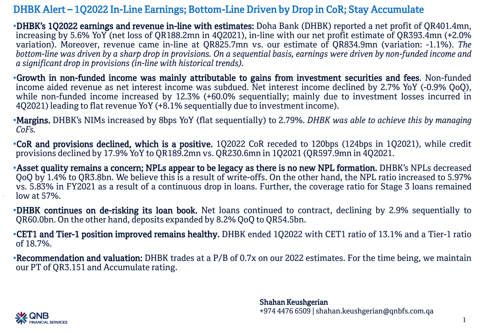## DHBK Alert – 1Q2022 In-Line Earnings; Bottom-Line Driven by Drop in CoR; Stay Accumulate

•DHBK's 1Q2022 earnings and revenue in-line with estimates: Doha Bank (DHBK) reported a net profit of QR401.4mn, increasing by 5.6% YoY (net loss of QR188.2mn in 4Q2021), in-line with our net profit estimate of QR393.4mn (+2.0% variation). Moreover, revenue came in-line at QR825.7mn vs. our estimate of QR834.9mn (variation: -1.1%). *The* bottom-line was driven by a sharp drop in provisions. On a sequential basis, earnings were driven by non-funded income and *a significant drop in provisions (in-line with historical trends).*

•Growth in non-funded income was mainly attributable to gains from investment securities and fees. Non-funded income aided revenue as net interest income was subdued. Net interest income declined by 2.7% YoY (-0.9% QoQ), while non-funded income increased by 12.3% (+60.0% sequentially; mainly due to investment losses incurred in 4Q2021) leading to flat revenue YoY (+8.1% sequentially due to investmentincome).

•Margins. DHBK's NIMs increased by 8bps YoY (flat sequentially) to 2.79%. *DHBK was able to achieve this by managing CoFs.*

•CoR and provisions declined, which is a positive. 1Q2022 CoR receded to 120bps (124bps in 1Q2021), while credit provisions declined by 17.9% YoY to QR189.2mn vs. QR230.6mn in 1Q2021 (QR597.9mn in 4Q2021.

•Asset quality remains a concern; NPLs appear to be legacy as there is no new NPL formation. DHBK's NPLs decreased QoQ by 1.4% to QR3.8bn. We believe this is a result of write-offs. On the other hand, the NPL ratio increased to 5.97% vs. 5.83% in FY2021 as a result of a continuous drop in loans. Further, the coverage ratio for Stage 3 loans remained low at 57%.

•DHBK continues on de-risking its loan book. Net loans continued to contract, declining by 2.9% sequentially to QR60.0bn. On the other hand, deposits expanded by 8.2% QoQ to QR54.5bn.

•CET1 and Tier-1 position improved remains healthy. DHBK ended 1Q2022 with CET1 ratio of 13.1% and a Tier-1 ratio of 18.7%.

•Recommendation and valuation: DHBK trades at a P/B of 0.7x on our 2022 estimates. For the time being, we maintain our PT of QR3.151 and Accumulate rating.

> Shahan Keushgerian +974 4476 6509 | shahan.keushgerian@qnbfs.com.qa